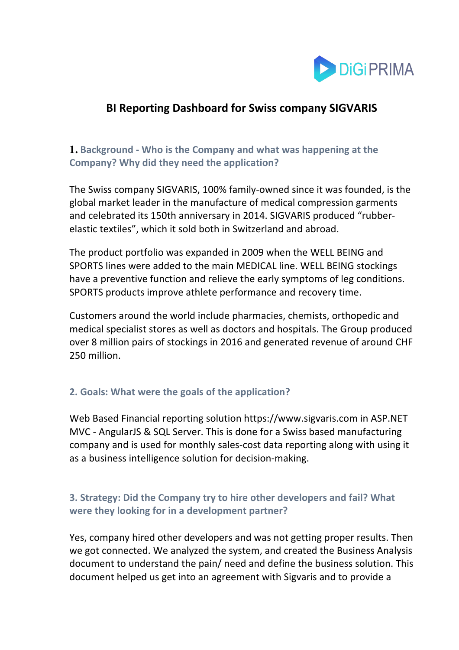

# **BI Reporting Dashboard for Swiss company SIGVARIS**

### **1. Background - Who is the Company and what was happening at the Company? Why did they need the application?**

The Swiss company SIGVARIS, 100% family-owned since it was founded, is the global market leader in the manufacture of medical compression garments and celebrated its 150th anniversary in 2014. SIGVARIS produced "rubberelastic textiles", which it sold both in Switzerland and abroad.

The product portfolio was expanded in 2009 when the WELL BEING and SPORTS lines were added to the main MEDICAL line. WELL BEING stockings have a preventive function and relieve the early symptoms of leg conditions. SPORTS products improve athlete performance and recovery time.

Customers around the world include pharmacies, chemists, orthopedic and medical specialist stores as well as doctors and hospitals. The Group produced over 8 million pairs of stockings in 2016 and generated revenue of around CHF 250 million.

### **2. Goals: What were the goals of the application?**

Web Based Financial reporting solution https://www.sigvaris.com in ASP.NET MVC - AngularJS & SQL Server. This is done for a Swiss based manufacturing company and is used for monthly sales-cost data reporting along with using it as a business intelligence solution for decision-making.

## **3. Strategy: Did the Company try to hire other developers and fail? What were they looking for in a development partner?**

Yes, company hired other developers and was not getting proper results. Then we got connected. We analyzed the system, and created the Business Analysis document to understand the pain/ need and define the business solution. This document helped us get into an agreement with Sigvaris and to provide a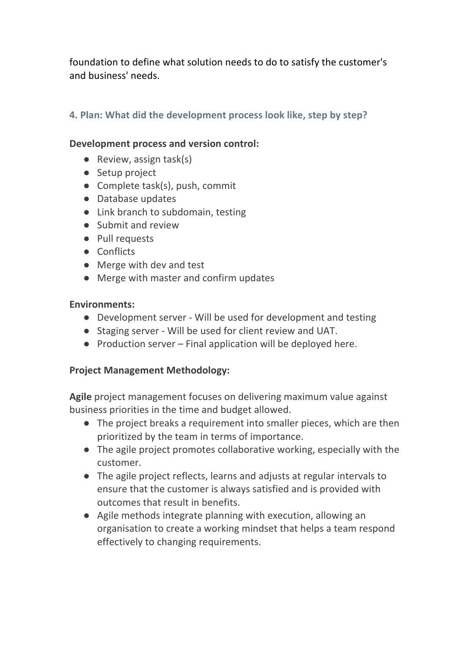foundation to define what solution needs to do to satisfy the customer's and business' needs.

### **4. Plan: What did the development process look like, step by step?**

### **Development process and version control:**

- Review, assign task(s)
- Setup project
- Complete task(s), push, commit
- Database updates
- Link branch to subdomain, testing
- Submit and review
- Pull requests
- Conflicts
- Merge with dev and test
- Merge with master and confirm updates

### **Environments:**

- Development server Will be used for development and testing
- Staging server Will be used for client review and UAT.
- Production server Final application will be deployed here.

### **Project Management Methodology:**

**Agile** project management focuses on delivering maximum value against business priorities in the time and budget allowed.

- The project breaks a requirement into smaller pieces, which are then prioritized by the team in terms of importance.
- The agile project promotes collaborative working, especially with the customer.
- The agile project reflects, learns and adjusts at regular intervals to ensure that the customer is always satisfied and is provided with outcomes that result in benefits.
- Agile methods integrate planning with execution, allowing an organisation to create a working mindset that helps a team respond effectively to changing requirements.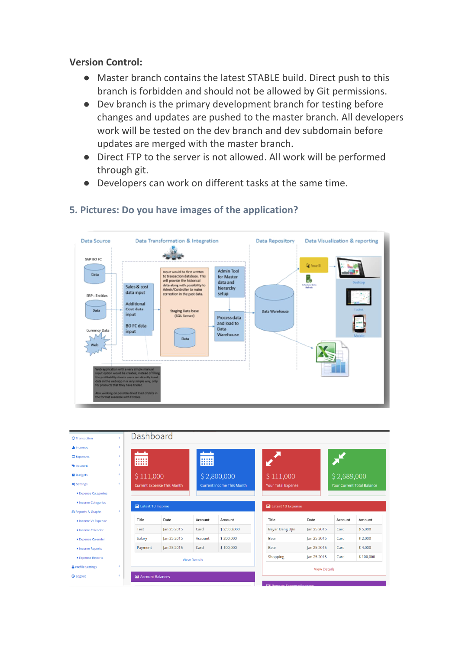#### **Version Control:**

- Master branch contains the latest STABLE build. Direct push to this branch is forbidden and should not be allowed by Git permissions.
- Dev branch is the primary development branch for testing before changes and updates are pushed to the master branch. All developers work will be tested on the dev branch and dev subdomain before updates are merged with the master branch.
- Direct FTP to the server is not allowed. All work will be performed through git.
- Developers can work on different tasks at the same time.



## **5. Pictures: Do you have images of the application?**

| <b>2</b> Transaction           | c          | Dashboard                         |             |                                  |             |                              |                     |                                   |           |
|--------------------------------|------------|-----------------------------------|-------------|----------------------------------|-------------|------------------------------|---------------------|-----------------------------------|-----------|
| <b>Juli</b> Incomes            | ∢          |                                   |             |                                  |             |                              |                     |                                   |           |
| <b>Expenses</b>                | k.         | m                                 |             |                                  |             |                              |                     |                                   |           |
| Account                        | k.         |                                   |             | m                                |             |                              |                     |                                   |           |
| <b>Budgets</b>                 | ∢          | \$111,000                         |             | \$2,800,000                      |             | \$111,000                    |                     | \$2,689,000                       |           |
| <b>Q</b> <sup>e</sup> Settings | $\epsilon$ | <b>Current Expense This Month</b> |             | <b>Current Income This Month</b> |             | <b>Your Total Expense</b>    |                     | <b>Your Current Total Balance</b> |           |
| ▶ Expense Categories           |            |                                   |             |                                  |             |                              |                     |                                   |           |
| Income Categories              |            | <b>In Latest 10 Income</b>        |             |                                  |             | <b>III</b> Latest 10 Expense |                     |                                   |           |
| Reports & Graphs               | x          |                                   |             |                                  |             |                              |                     |                                   |           |
| Income Vs Expense              |            | Title                             | Date        | Account                          | Amount      | Title                        | Date                | Account                           | Amount    |
|                                |            |                                   | Jan 25 2015 | Card                             | \$2,500,000 |                              |                     |                                   | \$5,000   |
| Income Calender                |            | Test                              |             |                                  |             | <b>Bayar Uang Ujin</b>       | Jan 25 2015         | Card                              |           |
| ▶ Expense Calender             |            | Salary                            | Jan 25 2015 | Account                          | \$200,000   | Bear                         | Jan 25 2015         | Card                              | \$2,000   |
| Income Reports                 |            | Payment                           | Jan 25 2015 | Card                             | \$100,000   | Bear                         | lan 25 2015         | Card                              | \$4,000   |
| Expense Reports                |            |                                   |             | <b>View Details</b>              |             | Shopping                     | Jan 25 2015         | Card                              |           |
| Profile Settings               | k.         |                                   |             |                                  |             |                              | <b>View Details</b> |                                   | \$100,000 |